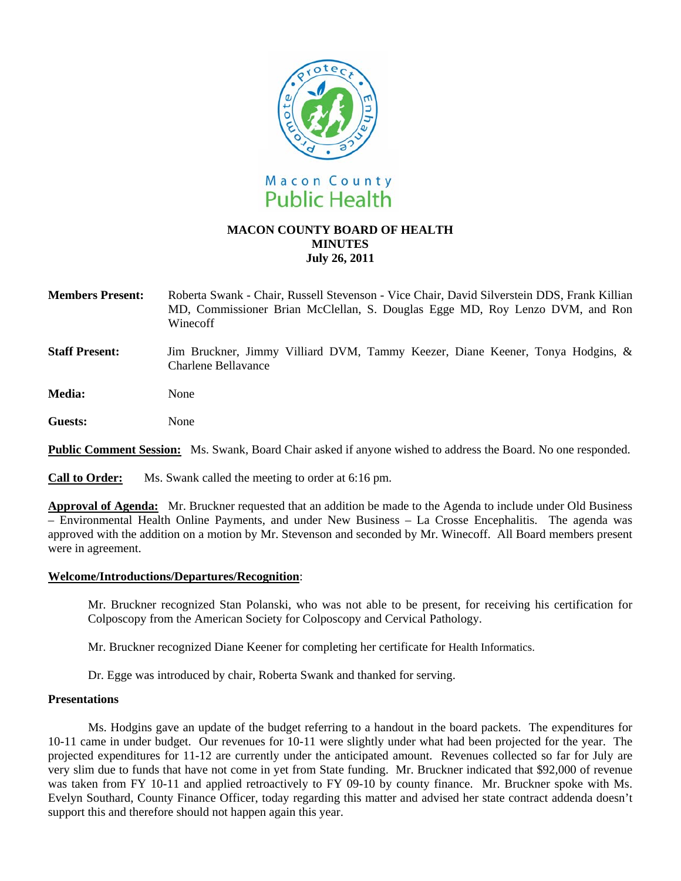

# **MACON COUNTY BOARD OF HEALTH MINUTES July 26, 2011**

**Members Present:** Roberta Swank - Chair, Russell Stevenson - Vice Chair, David Silverstein DDS, Frank Killian MD, Commissioner Brian McClellan, S. Douglas Egge MD, Roy Lenzo DVM, and Ron Winecoff

**Staff Present:** Jim Bruckner, Jimmy Villiard DVM, Tammy Keezer, Diane Keener, Tonya Hodgins, & Charlene Bellavance

**Media:** None

**Guests:** None

**Public Comment Session:** Ms. Swank, Board Chair asked if anyone wished to address the Board. No one responded.

**Call to Order:** Ms. Swank called the meeting to order at 6:16 pm.

**Approval of Agenda:**Mr. Bruckner requested that an addition be made to the Agenda to include under Old Business – Environmental Health Online Payments, and under New Business – La Crosse Encephalitis. The agenda was approved with the addition on a motion by Mr. Stevenson and seconded by Mr. Winecoff. All Board members present were in agreement.

## **Welcome/Introductions/Departures/Recognition**:

Mr. Bruckner recognized Stan Polanski, who was not able to be present, for receiving his certification for Colposcopy from the American Society for Colposcopy and Cervical Pathology.

Mr. Bruckner recognized Diane Keener for completing her certificate for Health Informatics.

Dr. Egge was introduced by chair, Roberta Swank and thanked for serving.

#### **Presentations**

Ms. Hodgins gave an update of the budget referring to a handout in the board packets. The expenditures for 10-11 came in under budget. Our revenues for 10-11 were slightly under what had been projected for the year. The projected expenditures for 11-12 are currently under the anticipated amount. Revenues collected so far for July are very slim due to funds that have not come in yet from State funding. Mr. Bruckner indicated that \$92,000 of revenue was taken from FY 10-11 and applied retroactively to FY 09-10 by county finance. Mr. Bruckner spoke with Ms. Evelyn Southard, County Finance Officer, today regarding this matter and advised her state contract addenda doesn't support this and therefore should not happen again this year.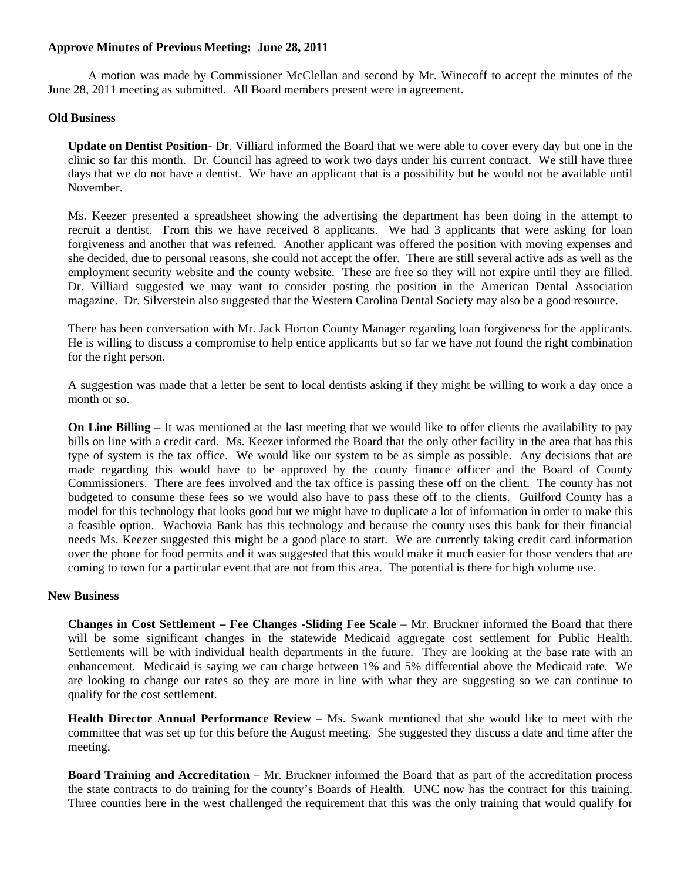## **Approve Minutes of Previous Meeting: June 28, 2011**

 A motion was made by Commissioner McClellan and second by Mr. Winecoff to accept the minutes of the June 28, 2011 meeting as submitted. All Board members present were in agreement.

## **Old Business**

**Update on Dentist Position** - Dr. Villiard informed the Board that we were able to cover every day but one in the clinic so far this month. Dr. Council has agreed to work two days under his current contract. We still have three days that we do not have a dentist. We have an applicant that is a possibility but he would not be available until November.

Ms. Keezer presented a spreadsheet showing the advertising the department has been doing in the attempt to recruit a dentist. From this we have received 8 applicants. We had 3 applicants that were asking for loan forgiveness and another that was referred. Another applicant was offered the position with moving expenses and she decided, due to personal reasons, she could not accept the offer. There are still several active ads as well as the employment security website and the county website. These are free so they will not expire until they are filled. Dr. Villiard suggested we may want to consider posting the position in the American Dental Association magazine. Dr. Silverstein also suggested that the Western Carolina Dental Society may also be a good resource.

There has been conversation with Mr. Jack Horton County Manager regarding loan forgiveness for the applicants. He is willing to discuss a compromise to help entice applicants but so far we have not found the right combination for the right person.

A suggestion was made that a letter be sent to local dentists asking if they might be willing to work a day once a month or so.

**On Line Billing** – It was mentioned at the last meeting that we would like to offer clients the availability to pay bills on line with a credit card. Ms. Keezer informed the Board that the only other facility in the area that has this type of system is the tax office. We would like our system to be as simple as possible. Any decisions that are made regarding this would have to be approved by the county finance officer and the Board of County Commissioners. There are fees involved and the tax office is passing these off on the client. The county has not budgeted to consume these fees so we would also have to pass these off to the clients. Guilford County has a model for this technology that looks good but we might have to duplicate a lot of information in order to make this a feasible option. Wachovia Bank has this technology and because the county uses this bank for their financial needs Ms. Keezer suggested this might be a good place to start. We are currently taking credit card information over the phone for food permits and it was suggested that this would make it much easier for those venders that are coming to town for a particular event that are not from this area. The potential is there for high volume use.

#### **New Business**

**Changes in Cost Settlement – Fee Changes -Sliding Fee Scale** – Mr. Bruckner informed the Board that there will be some significant changes in the statewide Medicaid aggregate cost settlement for Public Health. Settlements will be with individual health departments in the future. They are looking at the base rate with an enhancement. Medicaid is saying we can charge between 1% and 5% differential above the Medicaid rate. We are looking to change our rates so they are more in line with what they are suggesting so we can continue to qualify for the cost settlement.

**Health Director Annual Performance Review** – Ms. Swank mentioned that she would like to meet with the committee that was set up for this before the August meeting. She suggested they discuss a date and time after the meeting.

**Board Training and Accreditation** – Mr. Bruckner informed the Board that as part of the accreditation process the state contracts to do training for the county's Boards of Health. UNC now has the contract for this training. Three counties here in the west challenged the requirement that this was the only training that would qualify for